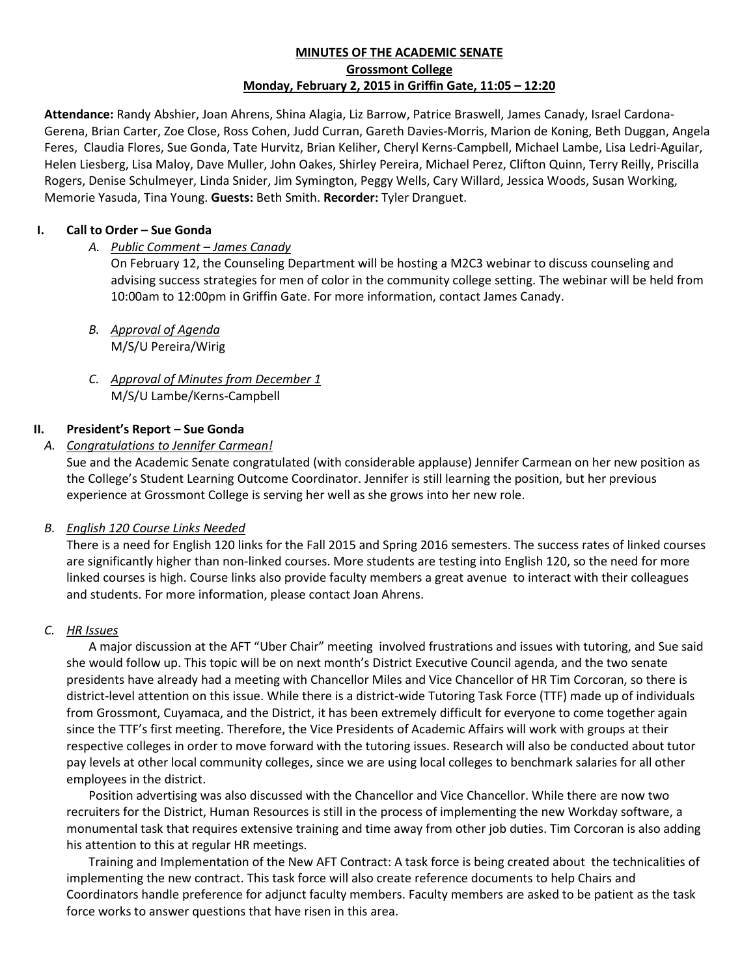## **MINUTES OF THE ACADEMIC SENATE Grossmont College Monday, February 2, 2015 in Griffin Gate, 11:05 – 12:20**

**Attendance:** Randy Abshier, Joan Ahrens, Shina Alagia, Liz Barrow, Patrice Braswell, James Canady, Israel Cardona-Gerena, Brian Carter, Zoe Close, Ross Cohen, Judd Curran, Gareth Davies-Morris, Marion de Koning, Beth Duggan, Angela Feres, Claudia Flores, Sue Gonda, Tate Hurvitz, Brian Keliher, Cheryl Kerns-Campbell, Michael Lambe, Lisa Ledri-Aguilar, Helen Liesberg, Lisa Maloy, Dave Muller, John Oakes, Shirley Pereira, Michael Perez, Clifton Quinn, Terry Reilly, Priscilla Rogers, Denise Schulmeyer, Linda Snider, Jim Symington, Peggy Wells, Cary Willard, Jessica Woods, Susan Working, Memorie Yasuda, Tina Young. **Guests:** Beth Smith. **Recorder:** Tyler Dranguet.

### **I. Call to Order – Sue Gonda**

### *A. Public Comment – James Canady*

On February 12, the Counseling Department will be hosting a M2C3 webinar to discuss counseling and advising success strategies for men of color in the community college setting. The webinar will be held from 10:00am to 12:00pm in Griffin Gate. For more information, contact James Canady.

- *B. Approval of Agenda* M/S/U Pereira/Wirig
- *C. Approval of Minutes from December 1* M/S/U Lambe/Kerns-Campbell

### **II. President's Report – Sue Gonda**

### *A. Congratulations to Jennifer Carmean!*

Sue and the Academic Senate congratulated (with considerable applause) Jennifer Carmean on her new position as the College's Student Learning Outcome Coordinator. Jennifer is still learning the position, but her previous experience at Grossmont College is serving her well as she grows into her new role.

#### *B. English 120 Course Links Needed*

There is a need for English 120 links for the Fall 2015 and Spring 2016 semesters. The success rates of linked courses are significantly higher than non-linked courses. More students are testing into English 120, so the need for more linked courses is high. Course links also provide faculty members a great avenue to interact with their colleagues and students. For more information, please contact Joan Ahrens.

#### *C. HR Issues*

A major discussion at the AFT "Uber Chair" meeting involved frustrations and issues with tutoring, and Sue said she would follow up. This topic will be on next month's District Executive Council agenda, and the two senate presidents have already had a meeting with Chancellor Miles and Vice Chancellor of HR Tim Corcoran, so there is district-level attention on this issue. While there is a district-wide Tutoring Task Force (TTF) made up of individuals from Grossmont, Cuyamaca, and the District, it has been extremely difficult for everyone to come together again since the TTF's first meeting. Therefore, the Vice Presidents of Academic Affairs will work with groups at their respective colleges in order to move forward with the tutoring issues. Research will also be conducted about tutor pay levels at other local community colleges, since we are using local colleges to benchmark salaries for all other employees in the district.

Position advertising was also discussed with the Chancellor and Vice Chancellor. While there are now two recruiters for the District, Human Resources is still in the process of implementing the new Workday software, a monumental task that requires extensive training and time away from other job duties. Tim Corcoran is also adding his attention to this at regular HR meetings.

Training and Implementation of the New AFT Contract: A task force is being created about the technicalities of implementing the new contract. This task force will also create reference documents to help Chairs and Coordinators handle preference for adjunct faculty members. Faculty members are asked to be patient as the task force works to answer questions that have risen in this area.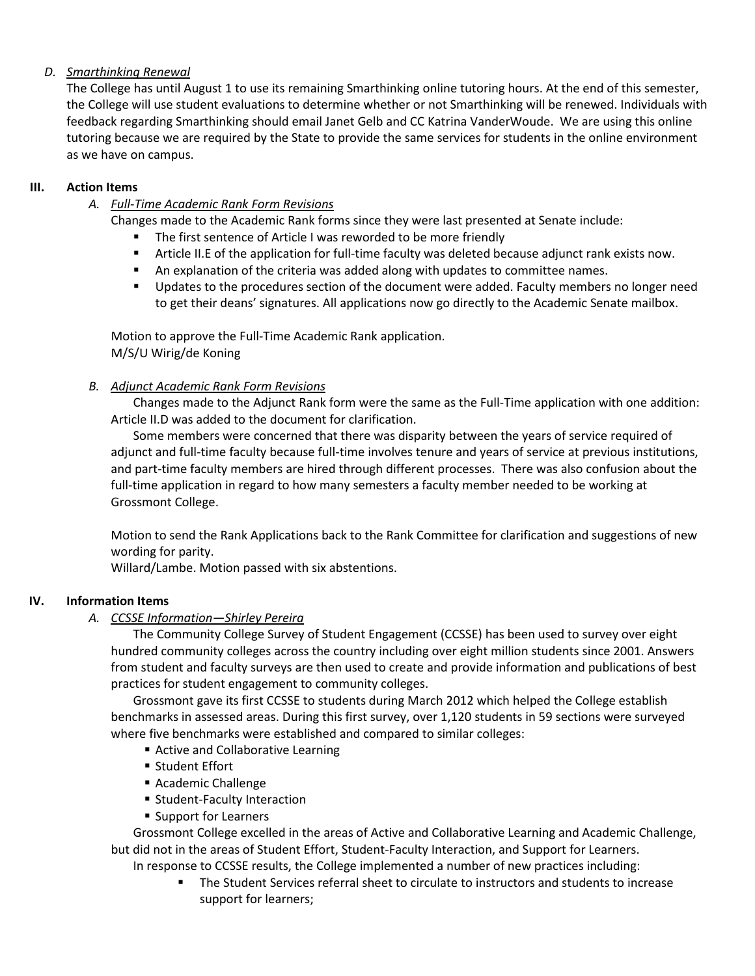# *D. Smarthinking Renewal*

The College has until August 1 to use its remaining Smarthinking online tutoring hours. At the end of this semester, the College will use student evaluations to determine whether or not Smarthinking will be renewed. Individuals with feedback regarding Smarthinking should email Janet Gelb and CC Katrina VanderWoude. We are using this online tutoring because we are required by the State to provide the same services for students in the online environment as we have on campus.

## **III. Action Items**

# *A. Full-Time Academic Rank Form Revisions*

- Changes made to the Academic Rank forms since they were last presented at Senate include:
	- **The first sentence of Article I was reworded to be more friendly**
	- Article II.E of the application for full-time faculty was deleted because adjunct rank exists now.
	- **An explanation of the criteria was added along with updates to committee names.**
	- **Updates to the procedures section of the document were added. Faculty members no longer need** to get their deans' signatures. All applications now go directly to the Academic Senate mailbox.

Motion to approve the Full-Time Academic Rank application. M/S/U Wirig/de Koning

# *B. Adjunct Academic Rank Form Revisions*

Changes made to the Adjunct Rank form were the same as the Full-Time application with one addition: Article II.D was added to the document for clarification.

Some members were concerned that there was disparity between the years of service required of adjunct and full-time faculty because full-time involves tenure and years of service at previous institutions, and part-time faculty members are hired through different processes. There was also confusion about the full-time application in regard to how many semesters a faculty member needed to be working at Grossmont College.

Motion to send the Rank Applications back to the Rank Committee for clarification and suggestions of new wording for parity.

Willard/Lambe. Motion passed with six abstentions.

# **IV. Information Items**

# *A. CCSSE Information—Shirley Pereira*

The Community College Survey of Student Engagement (CCSSE) has been used to survey over eight hundred community colleges across the country including over eight million students since 2001. Answers from student and faculty surveys are then used to create and provide information and publications of best practices for student engagement to community colleges.

Grossmont gave its first CCSSE to students during March 2012 which helped the College establish benchmarks in assessed areas. During this first survey, over 1,120 students in 59 sections were surveyed where five benchmarks were established and compared to similar colleges:

- Active and Collaborative Learning
- Student Effort
- Academic Challenge
- **Student-Faculty Interaction**
- Support for Learners

Grossmont College excelled in the areas of Active and Collaborative Learning and Academic Challenge, but did not in the areas of Student Effort, Student-Faculty Interaction, and Support for Learners. In response to CCSSE results, the College implemented a number of new practices including:

 The Student Services referral sheet to circulate to instructors and students to increase support for learners;